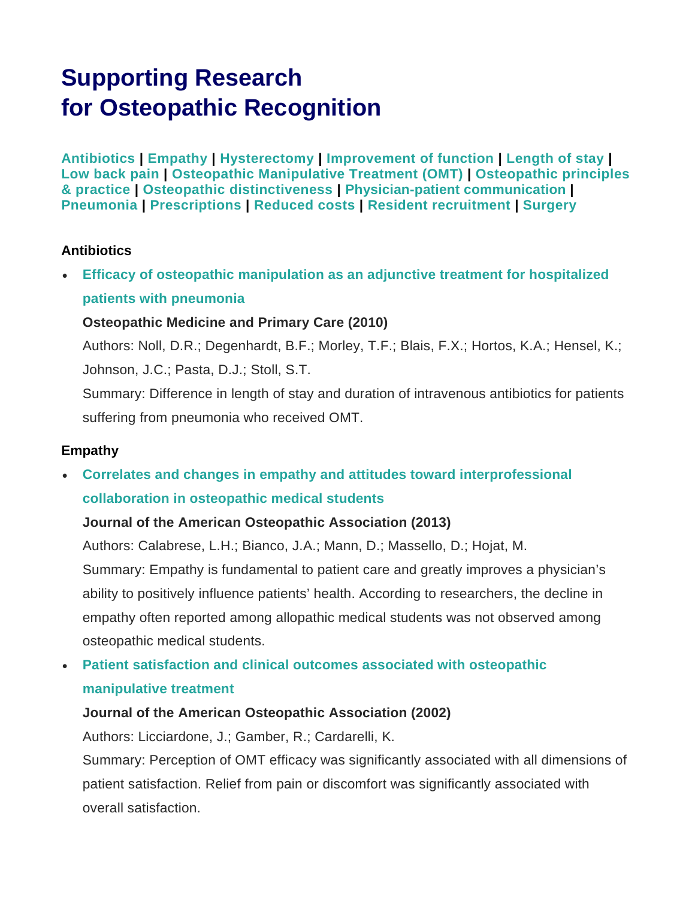# **Supporting Research for Osteopathic Recognition**

**[Antibiotics](#page-0-0) | [Empathy](#page-0-1) | [Hysterectomy](#page-1-0) | [Improvement of function](#page-1-1) | [Length of stay](#page-1-2) | [Low back pain](#page-2-0) | [Osteopathic Manipulative Treatment \(OMT\)](#page-2-1) | [Osteopathic principles](#page-4-0)  [& practice](#page-4-0) | [Osteopathic distinctiveness](#page-5-0) | [Physician-patient communication](#page-5-1) | [Pneumonia](#page-5-2) | [Prescriptions](#page-6-0) | [Reduced costs](#page-6-1) | [Resident recruitment](#page-6-2) | [Surgery](#page-6-3)**

#### <span id="page-0-0"></span>**Antibiotics**

• **[Efficacy of osteopathic manipulation as an adjunctive treatment for hospitalized](https://www.ncbi.nlm.nih.gov/pmc/articles/PMC2848182/pdf/1750-4732-4-2.pdf)  [patients with pneumonia](https://www.ncbi.nlm.nih.gov/pmc/articles/PMC2848182/pdf/1750-4732-4-2.pdf)**

#### **Osteopathic Medicine and Primary Care (2010)**

Authors: Noll, D.R.; Degenhardt, B.F.; Morley, T.F.; Blais, F.X.; Hortos, K.A.; Hensel, K.; Johnson, J.C.; Pasta, D.J.; Stoll, S.T.

Summary: Difference in length of stay and duration of intravenous antibiotics for patients suffering from pneumonia who received OMT.

#### <span id="page-0-1"></span>**Empathy**

• **[Correlates and changes in empathy and attitudes toward interprofessional](http://jaoa.org/article.aspx?articleid=2094419)  [collaboration in osteopathic medical students](http://jaoa.org/article.aspx?articleid=2094419)**

#### **Journal of the American Osteopathic Association (2013)**

Authors: Calabrese, L.H.; Bianco, J.A.; Mann, D.; Massello, D.; Hojat, M. Summary: Empathy is fundamental to patient care and greatly improves a physician's ability to positively influence patients' health. According to researchers, the decline in empathy often reported among allopathic medical students was not observed among osteopathic medical students.

# • **Patient [satisfaction and clinical outcomes associated with osteopathic](http://jaoa.org/article.aspx?articleid=2092656)  [manipulative treatment](http://jaoa.org/article.aspx?articleid=2092656)**

#### **Journal of the American Osteopathic Association (2002)**

Authors: Licciardone, J.; Gamber, R.; Cardarelli, K.

Summary: Perception of OMT efficacy was significantly associated with all dimensions of patient satisfaction. Relief from pain or discomfort was significantly associated with overall satisfaction.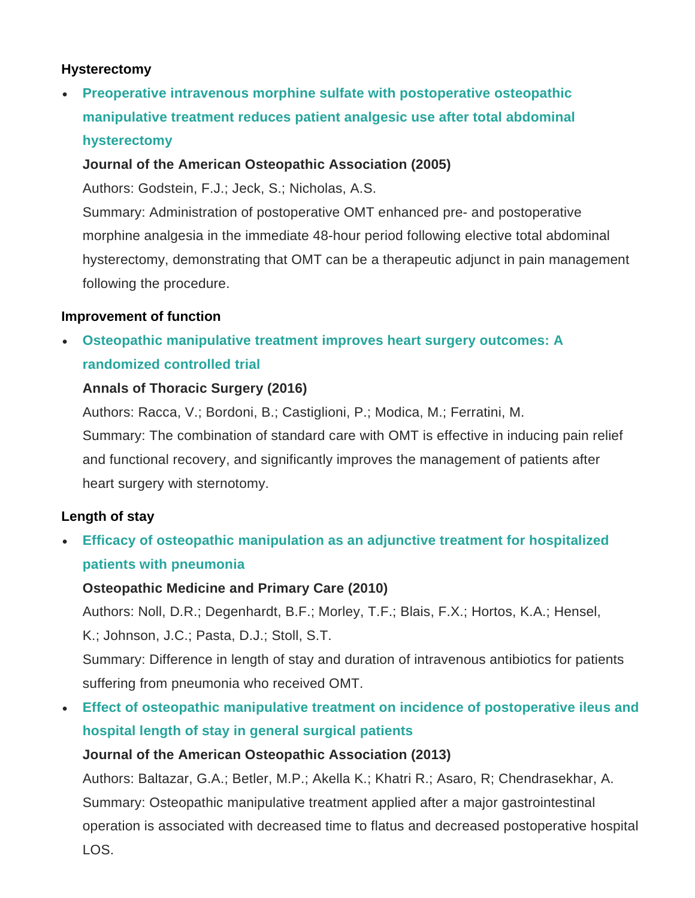#### <span id="page-1-0"></span>**Hysterectomy**

• **[Preoperative intravenous morphine sulfate with postoperative osteopathic](http://jaoa.org/article.aspx?articleid=2093074)  [manipulative treatment reduces patient analgesic use after total abdominal](http://jaoa.org/article.aspx?articleid=2093074)  [hysterectomy](http://jaoa.org/article.aspx?articleid=2093074)**

### **Journal of the American Osteopathic Association (2005)**

Authors: Godstein, F.J.; Jeck, S.; Nicholas, A.S.

Summary: Administration of postoperative OMT enhanced pre- and postoperative morphine analgesia in the immediate 48-hour period following elective total abdominal hysterectomy, demonstrating that OMT can be a therapeutic adjunct in pain management following the procedure.

#### <span id="page-1-1"></span>**Improvement of function**

• **[Osteopathic manipulative treatment improves heart surgery outcomes: A](http://www.annalsthoracicsurgery.org/article/S0003-4975%2816%2931438-2/fulltext)  [randomized controlled trial](http://www.annalsthoracicsurgery.org/article/S0003-4975%2816%2931438-2/fulltext)**

# **Annals of Thoracic Surgery (2016)**

Authors: Racca, V.; Bordoni, B.; Castiglioni, P.; Modica, M.; Ferratini, M. Summary: The combination of standard care with OMT is effective in inducing pain relief and functional recovery, and significantly improves the management of patients after heart surgery with sternotomy.

# <span id="page-1-2"></span>**Length of stay**

• **[Efficacy of osteopathic manipulation as an adjunctive treatment for hospitalized](https://www.ncbi.nlm.nih.gov/pmc/articles/PMC2848182/pdf/1750-4732-4-2.pdf)  [patients with pneumonia](https://www.ncbi.nlm.nih.gov/pmc/articles/PMC2848182/pdf/1750-4732-4-2.pdf)**

# **Osteopathic Medicine and Primary Care (2010)**

Authors: Noll, D.R.; Degenhardt, B.F.; Morley, T.F.; Blais, F.X.; Hortos, K.A.; Hensel, K.; Johnson, J.C.; Pasta, D.J.; Stoll, S.T.

Summary: Difference in length of stay and duration of intravenous antibiotics for patients suffering from pneumonia who received OMT.

• **[Effect of osteopathic manipulative treatment on](http://jaoa.org/article.aspx?articleid=2094531) incidence of postoperative ileus and [hospital length of stay in general surgical patients](http://jaoa.org/article.aspx?articleid=2094531)**

# **Journal of the American Osteopathic Association (2013)**

Authors: Baltazar, G.A.; Betler, M.P.; Akella K.; Khatri R.; Asaro, R; Chendrasekhar, A. Summary: Osteopathic manipulative treatment applied after a major gastrointestinal operation is associated with decreased time to flatus and decreased postoperative hospital LOS.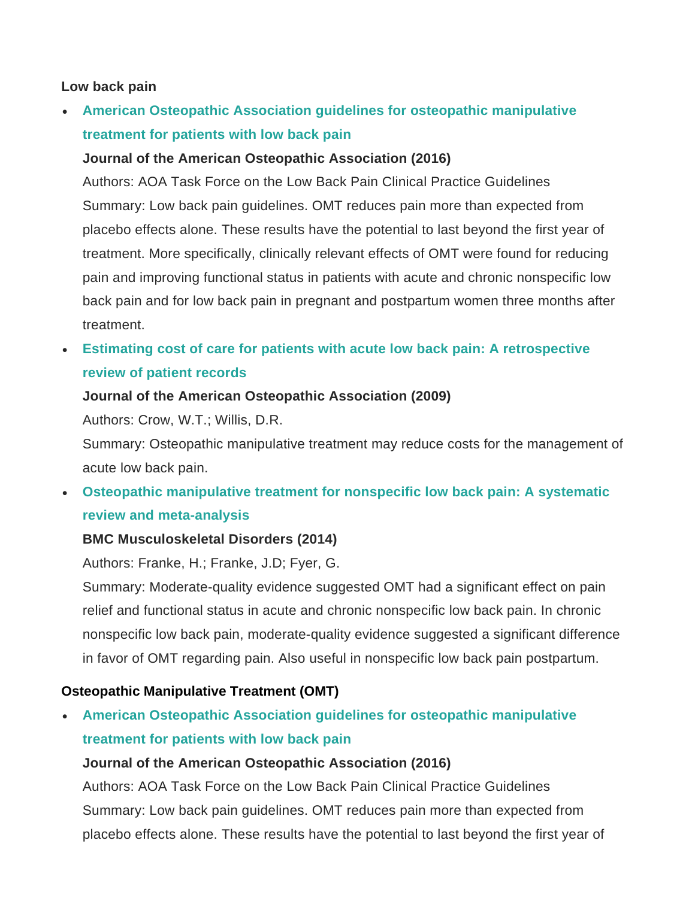#### <span id="page-2-0"></span>**Low back pain**

• **[American Osteopathic Association guidelines for osteopathic manipulative](http://jaoa.org/article.aspx?articleid=2538814)  [treatment for patients with low back pain](http://jaoa.org/article.aspx?articleid=2538814)**

#### **Journal of the American Osteopathic Association (2016)**

Authors: AOA Task Force on the Low Back Pain Clinical Practice Guidelines Summary: Low back pain guidelines. OMT reduces pain more than expected from placebo effects alone. These results have the potential to last beyond the first year of treatment. More specifically, clinically relevant effects of OMT were found for reducing pain and improving functional status in patients with acute and chronic nonspecific low back pain and for low back pain in pregnant and postpartum women three months after treatment.

• **[Estimating cost of care for patients with acute low back pain: A retrospective](http://jaoa.org/article.aspx?articleid=2093736)  [review of patient records](http://jaoa.org/article.aspx?articleid=2093736)**

#### **Journal of the American Osteopathic Association (2009)**

Authors: Crow, W.T.; Willis, D.R.

Summary: Osteopathic manipulative treatment may reduce costs for the management of acute low back pain.

• **[Osteopathic manipulative treatment for nonspecific low back pain: A systematic](https://www.ncbi.nlm.nih.gov/pmc/articles/PMC4159549/pdf/12891_2014_Article_2231.pdf)  [review and meta-analysis](https://www.ncbi.nlm.nih.gov/pmc/articles/PMC4159549/pdf/12891_2014_Article_2231.pdf)**

#### **BMC Musculoskeletal Disorders (2014)**

Authors: Franke, H.; Franke, J.D; Fyer, G.

Summary: Moderate-quality evidence suggested OMT had a significant effect on pain relief and functional status in acute and chronic nonspecific low back pain. In chronic nonspecific low back pain, moderate-quality evidence suggested a significant difference in favor of OMT regarding pain. Also useful in nonspecific low back pain postpartum.

#### <span id="page-2-1"></span>**Osteopathic Manipulative Treatment (OMT)**

• **[American Osteopathic Association guidelines for osteopathic manipulative](http://jaoa.org/article.aspx?articleid=2538814)  [treatment for patients with low back pain](http://jaoa.org/article.aspx?articleid=2538814)**

#### **Journal of the American Osteopathic Association (2016)**

Authors: AOA Task Force on the Low Back Pain Clinical Practice Guidelines Summary: Low back pain guidelines. OMT reduces pain more than expected from placebo effects alone. These results have the potential to last beyond the first year of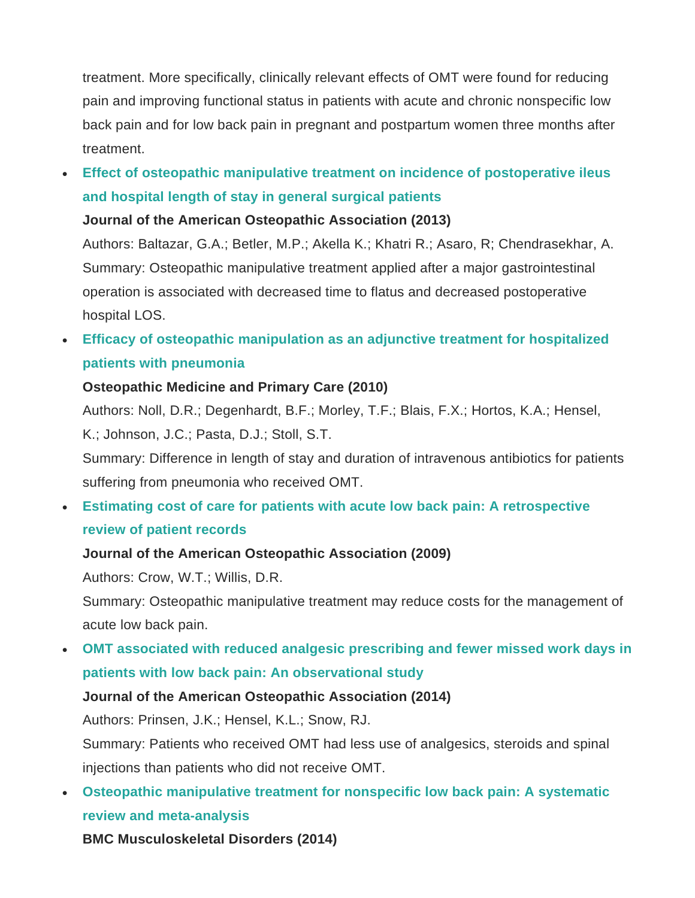treatment. More specifically, clinically relevant effects of OMT were found for reducing pain and improving functional status in patients with acute and chronic nonspecific low back pain and for low back pain in pregnant and postpartum women three months after treatment.

• **[Effect of osteopathic manipulative treatment on](http://jaoa.org/article.aspx?articleid=2094531) incidence of postoperative ileus [and hospital length of stay in general surgical patients](http://jaoa.org/article.aspx?articleid=2094531)**

#### **Journal of the American Osteopathic Association (2013)**

Authors: Baltazar, G.A.; Betler, M.P.; Akella K.; Khatri R.; Asaro, R; Chendrasekhar, A. Summary: Osteopathic manipulative treatment applied after a major gastrointestinal operation is associated with decreased time to flatus and decreased postoperative hospital LOS.

• **[Efficacy of osteopathic manipulation as an adjunctive treatment for hospitalized](https://www.ncbi.nlm.nih.gov/pmc/articles/PMC2848182/pdf/1750-4732-4-2.pdf)  [patients with pneumonia](https://www.ncbi.nlm.nih.gov/pmc/articles/PMC2848182/pdf/1750-4732-4-2.pdf)**

# **Osteopathic Medicine and Primary Care (2010)**

Authors: Noll, D.R.; Degenhardt, B.F.; Morley, T.F.; Blais, F.X.; Hortos, K.A.; Hensel, K.; Johnson, J.C.; Pasta, D.J.; Stoll, S.T.

Summary: Difference in length of stay and duration of intravenous antibiotics for patients suffering from pneumonia who received OMT.

# • **[Estimating cost of care for patients with acute low back pain: A retrospective](http://jaoa.org/article.aspx?articleid=2093736)  [review of patient records](http://jaoa.org/article.aspx?articleid=2093736)**

# **Journal of the American Osteopathic Association (2009)**

Authors: Crow, W.T.; Willis, D.R.

Summary: Osteopathic manipulative treatment may reduce costs for the management of acute low back pain.

• **[OMT associated with reduced analgesic prescribing and fewer missed work days in](http://jaoa.org/article.aspx?articleid=2094629)  [patients with low back pain: An observational study](http://jaoa.org/article.aspx?articleid=2094629)**

# **Journal of the American Osteopathic Association (2014)**

Authors: Prinsen, J.K.; Hensel, K.L.; Snow, RJ.

Summary: Patients who received OMT had less use of analgesics, steroids and spinal injections than patients who did not receive OMT.

• **[Osteopathic manipulative treatment for nonspecific low back pain: A systematic](https://www.ncbi.nlm.nih.gov/pmc/articles/PMC4159549/pdf/12891_2014_Article_2231.pdf)  [review and meta-analysis](https://www.ncbi.nlm.nih.gov/pmc/articles/PMC4159549/pdf/12891_2014_Article_2231.pdf)**

**BMC Musculoskeletal Disorders (2014)**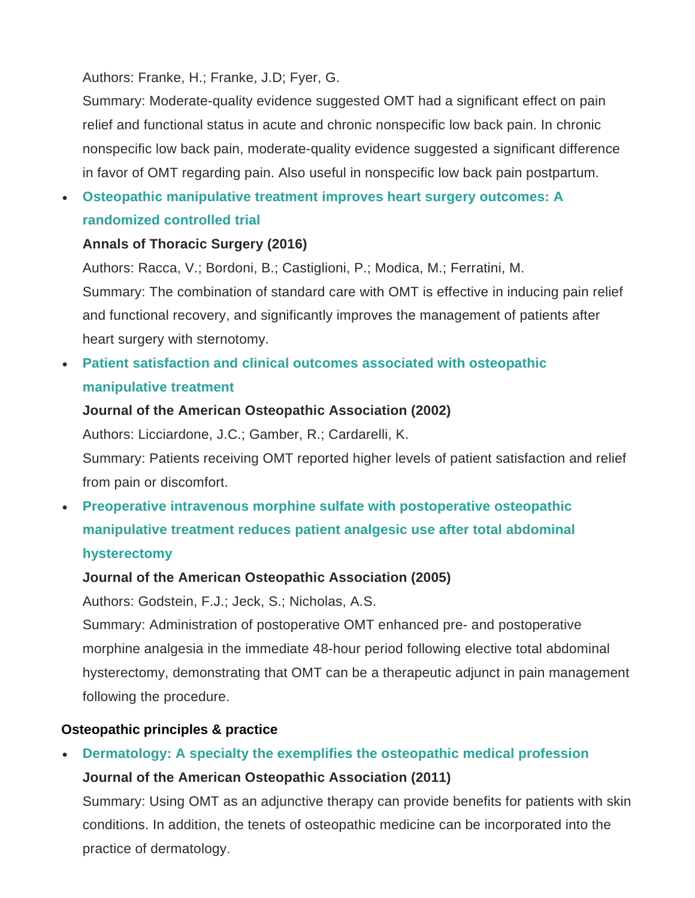Authors: Franke, H.; Franke, J.D; Fyer, G.

Summary: Moderate-quality evidence suggested OMT had a significant effect on pain relief and functional status in acute and chronic nonspecific low back pain. In chronic nonspecific low back pain, moderate-quality evidence suggested a significant difference in favor of OMT regarding pain. Also useful in nonspecific low back pain postpartum.

• **[Osteopathic manipulative treatment improves heart surgery outcomes: A](http://www.annalsthoracicsurgery.org/article/S0003-4975%2816%2931438-2/fulltext)  [randomized controlled trial](http://www.annalsthoracicsurgery.org/article/S0003-4975%2816%2931438-2/fulltext)**

#### **Annals of Thoracic Surgery (2016)**

Authors: Racca, V.; Bordoni, B.; Castiglioni, P.; Modica, M.; Ferratini, M. Summary: The combination of standard care with OMT is effective in inducing pain relief and functional recovery, and significantly improves the management of patients after heart surgery with sternotomy.

• **[Patient satisfaction and clinical outcomes associated with osteopathic](http://jaoa.org/article.aspx?articleid=2092656)  [manipulative treatment](http://jaoa.org/article.aspx?articleid=2092656)**

#### **Journal of the American Osteopathic Association (2002)**

Authors: Licciardone, J.C.; Gamber, R.; Cardarelli, K.

Summary: Patients receiving OMT reported higher levels of patient satisfaction and relief from pain or discomfort.

# • **[Preoperative intravenous morphine sulfate with postoperative osteopathic](http://jaoa.org/article.aspx?articleid=2093074)  [manipulative treatment reduces patient analgesic use after total abdominal](http://jaoa.org/article.aspx?articleid=2093074)  [hysterectomy](http://jaoa.org/article.aspx?articleid=2093074)**

#### **Journal of the American Osteopathic Association (2005)**

Authors: Godstein, F.J.; Jeck, S.; Nicholas, A.S.

Summary: Administration of postoperative OMT enhanced pre- and postoperative morphine analgesia in the immediate 48-hour period following elective total abdominal hysterectomy, demonstrating that OMT can be a therapeutic adjunct in pain management following the procedure.

# <span id="page-4-0"></span>**Osteopathic principles & practice**

• **[Dermatology: A specialty the exemplifies the osteopathic medical profession](http://jaoa.org/article.aspx?articleid=2094156) Journal of the American Osteopathic Association (2011)**

Summary: Using OMT as an adjunctive therapy can provide benefits for patients with skin conditions. In addition, the tenets of osteopathic medicine can be incorporated into the practice of dermatology.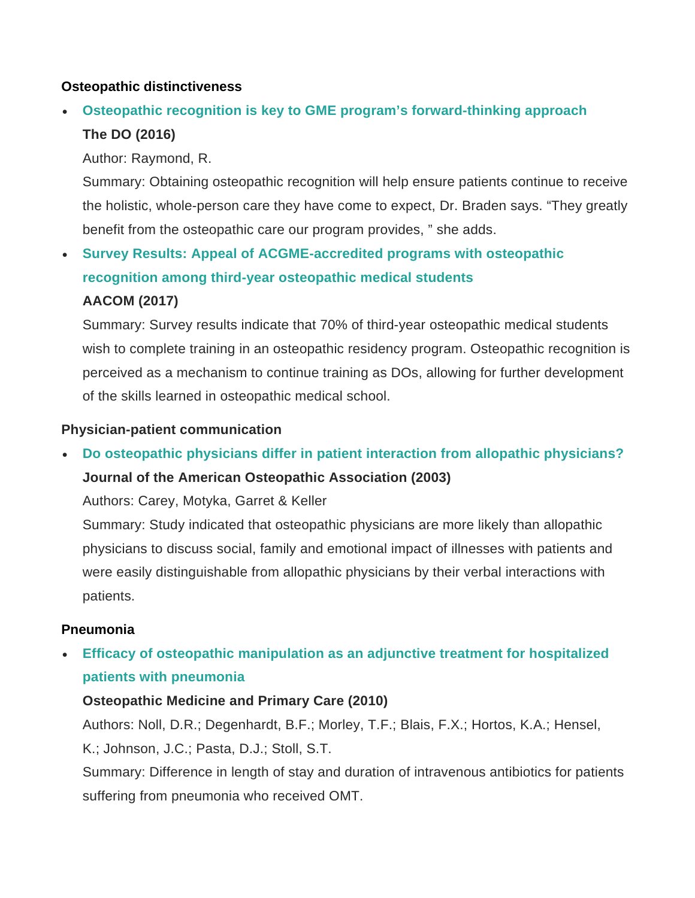#### <span id="page-5-0"></span>**Osteopathic distinctiveness**

# • **[Osteopathic recognition is key to GME program's forward-thinking approach](http://thedo.osteopathic.org/2016/10/osteopathic-recognition-is-key-to-gme-programs-forward-thinking-approach/) The DO (2016)**

Author: Raymond, R.

Summary: Obtaining osteopathic recognition will help ensure patients continue to receive the holistic, whole-person care they have come to expect, Dr. Braden says. "They greatly benefit from the osteopathic care our program provides, " she adds.

# • **[Survey Results: Appeal of ACGME-accredited programs with osteopathic](https://www.aacom.org/docs/default-source/single-gme-accreditation/2017-OR-survey-report.pdf?sfvrsn=6)  [recognition among third-year osteopathic medical students](https://www.aacom.org/docs/default-source/single-gme-accreditation/2017-OR-survey-report.pdf?sfvrsn=6)**

#### **AACOM (2017)**

Summary: Survey results indicate that 70% of third-year osteopathic medical students wish to complete training in an osteopathic residency program. Osteopathic recognition is perceived as a mechanism to continue training as DOs, allowing for further development of the skills learned in osteopathic medical school.

#### <span id="page-5-1"></span>**[Physician-patient communication](https://osteopathic.org/graduate-medical-educators/single-gme/osteopathic-recognition/)**

• **[Do osteopathic physicians differ in patient interaction from allopathic physicians?](http://jaoa.org/article.aspx?articleid=2092837) Journal of the American Osteopathic Association (2003)**

Authors: Carey, Motyka, Garret & Keller

Summary: Study indicated that osteopathic physicians are more likely than allopathic physicians to discuss social, family and emotional impact of illnesses with patients and were easily distinguishable from allopathic physicians by their verbal interactions with patients.

#### <span id="page-5-2"></span>**Pneumonia**

• **[Efficacy of osteopathic manipulation as an adjunctive treatment for hospitalized](https://www.ncbi.nlm.nih.gov/pmc/articles/PMC2848182/pdf/1750-4732-4-2.pdf)  [patients with pneumonia](https://www.ncbi.nlm.nih.gov/pmc/articles/PMC2848182/pdf/1750-4732-4-2.pdf)**

#### **Osteopathic Medicine and Primary Care (2010)**

Authors: Noll, D.R.; Degenhardt, B.F.; Morley, T.F.; Blais, F.X.; Hortos, K.A.; Hensel, K.; Johnson, J.C.; Pasta, D.J.; Stoll, S.T.

Summary: Difference in length of stay and duration of intravenous antibiotics for patients suffering from pneumonia who received OMT.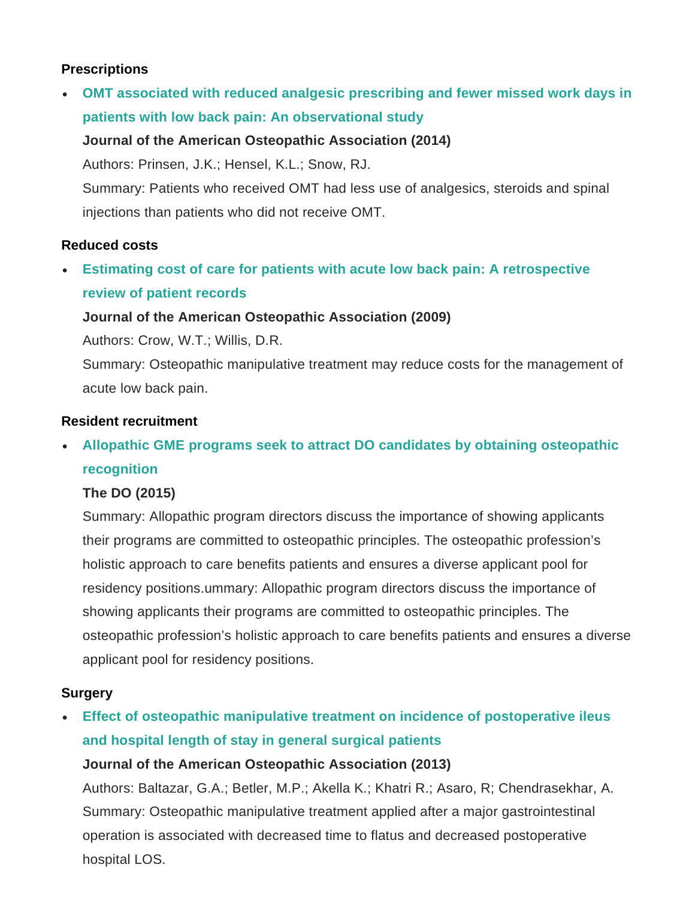# <span id="page-6-0"></span>**Prescriptions**

• **OMT [associated with reduced analgesic prescribing and fewer missed work days in](http://jaoa.org/article.aspx?articleid=2094629)  [patients with low back pain: An observational study](http://jaoa.org/article.aspx?articleid=2094629)**

# **Journal of the American Osteopathic Association (2014)**

Authors: Prinsen, J.K.; Hensel, K.L.; Snow, RJ.

Summary: Patients who received OMT had less use of analgesics, steroids and spinal injections than patients who did not receive OMT.

# <span id="page-6-1"></span>**Reduced costs**

• **[Estimating cost of care for patients with acute low back pain: A retrospective](http://jaoa.org/article.aspx?articleid=2093736)  [review of patient records](http://jaoa.org/article.aspx?articleid=2093736)**

# **Journal of the American Osteopathic Association (2009)**

Authors: Crow, W.T.; Willis, D.R.

Summary: Osteopathic manipulative treatment may reduce costs for the management of acute low back pain.

# <span id="page-6-2"></span>**Resident recruitment**

# • **[Allopathic GME programs seek to attract DO](http://thedo.osteopathic.org/2015/12/allopathic-gme-programs-seek-to-attract-do-candidates-by-obtaining-osteopathic-recognition/) candidates by obtaining osteopathic [recognition](http://thedo.osteopathic.org/2015/12/allopathic-gme-programs-seek-to-attract-do-candidates-by-obtaining-osteopathic-recognition/)**

# **The DO (2015)**

Summary: Allopathic program directors discuss the importance of showing applicants their programs are committed to osteopathic principles. The osteopathic profession's holistic approach to care benefits patients and ensures a diverse applicant pool for residency positions.ummary: Allopathic program directors discuss the importance of showing applicants their programs are committed to osteopathic principles. The osteopathic profession's holistic approach to care benefits patients and ensures a diverse applicant pool for residency positions.

# <span id="page-6-3"></span>**Surgery**

• **[Effect of osteopathic manipulative treatment on](http://jaoa.org/article.aspx?articleid=2094531) incidence of postoperative ileus [and hospital length of stay in general surgical patients](http://jaoa.org/article.aspx?articleid=2094531)**

# **Journal of the American Osteopathic Association (2013)**

Authors: Baltazar, G.A.; Betler, M.P.; Akella K.; Khatri R.; Asaro, R; Chendrasekhar, A. Summary: Osteopathic manipulative treatment applied after a major gastrointestinal operation is associated with decreased time to flatus and decreased postoperative hospital LOS.